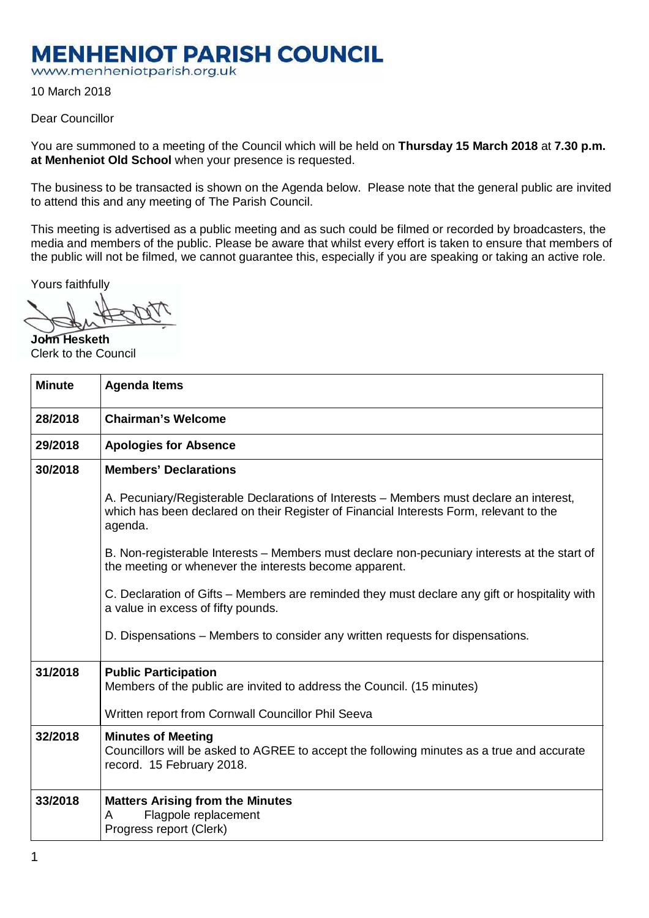## **MENHENIOT PARISH COUNCIL**

www.menheniotparish.org.uk

10 March 2018

## Dear Councillor

You are summoned to a meeting of the Council which will be held on **Thursday 15 March 2018** at **7.30 p.m. at Menheniot Old School** when your presence is requested.

The business to be transacted is shown on the Agenda below. Please note that the general public are invited to attend this and any meeting of The Parish Council.

This meeting is advertised as a public meeting and as such could be filmed or recorded by broadcasters, the media and members of the public. Please be aware that whilst every effort is taken to ensure that members of the public will not be filmed, we cannot guarantee this, especially if you are speaking or taking an active role.

Yours faithfully

**John Hesketh**  Clerk to the Council

| <b>Minute</b> | <b>Agenda Items</b>                                                                                                                                                                          |  |  |  |
|---------------|----------------------------------------------------------------------------------------------------------------------------------------------------------------------------------------------|--|--|--|
| 28/2018       | <b>Chairman's Welcome</b>                                                                                                                                                                    |  |  |  |
| 29/2018       | <b>Apologies for Absence</b>                                                                                                                                                                 |  |  |  |
| 30/2018       | <b>Members' Declarations</b>                                                                                                                                                                 |  |  |  |
|               | A. Pecuniary/Registerable Declarations of Interests – Members must declare an interest,<br>which has been declared on their Register of Financial Interests Form, relevant to the<br>agenda. |  |  |  |
|               | B. Non-registerable Interests – Members must declare non-pecuniary interests at the start of<br>the meeting or whenever the interests become apparent.                                       |  |  |  |
|               | C. Declaration of Gifts – Members are reminded they must declare any gift or hospitality with<br>a value in excess of fifty pounds.                                                          |  |  |  |
|               | D. Dispensations – Members to consider any written requests for dispensations.                                                                                                               |  |  |  |
| 31/2018       | <b>Public Participation</b><br>Members of the public are invited to address the Council. (15 minutes)<br>Written report from Cornwall Councillor Phil Seeva                                  |  |  |  |
| 32/2018       | <b>Minutes of Meeting</b><br>Councillors will be asked to AGREE to accept the following minutes as a true and accurate<br>record. 15 February 2018.                                          |  |  |  |
| 33/2018       | <b>Matters Arising from the Minutes</b><br>Flagpole replacement<br>A<br>Progress report (Clerk)                                                                                              |  |  |  |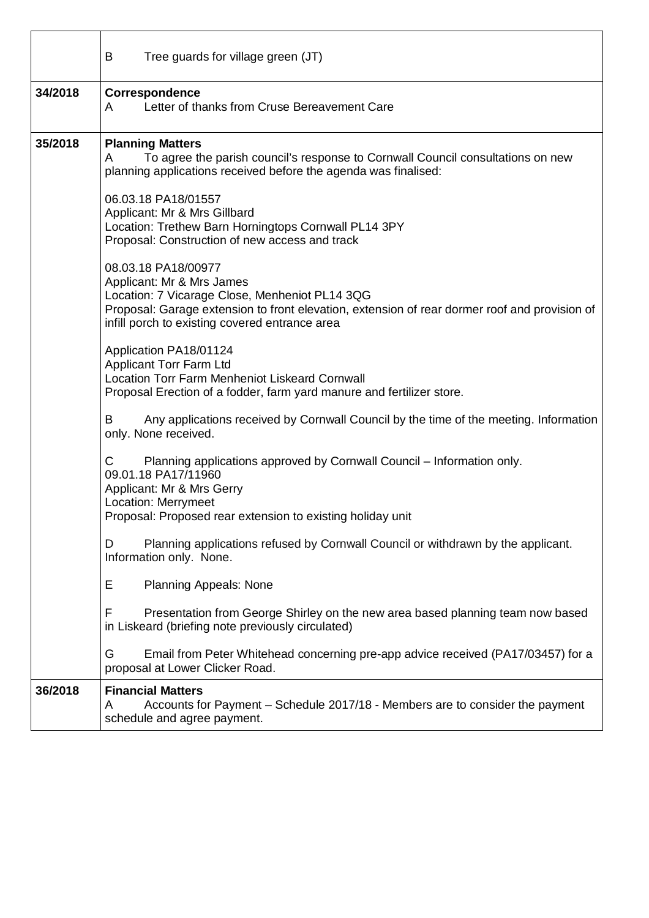|         | B<br>Tree guards for village green (JT)                                                                                                                                                                                                               |  |  |  |  |  |
|---------|-------------------------------------------------------------------------------------------------------------------------------------------------------------------------------------------------------------------------------------------------------|--|--|--|--|--|
| 34/2018 | Correspondence<br>Letter of thanks from Cruse Bereavement Care<br>A                                                                                                                                                                                   |  |  |  |  |  |
| 35/2018 | <b>Planning Matters</b><br>To agree the parish council's response to Cornwall Council consultations on new<br>A<br>planning applications received before the agenda was finalised:                                                                    |  |  |  |  |  |
|         | 06.03.18 PA18/01557<br>Applicant: Mr & Mrs Gillbard<br>Location: Trethew Barn Horningtops Cornwall PL14 3PY<br>Proposal: Construction of new access and track                                                                                         |  |  |  |  |  |
|         | 08.03.18 PA18/00977<br>Applicant: Mr & Mrs James<br>Location: 7 Vicarage Close, Menheniot PL14 3QG<br>Proposal: Garage extension to front elevation, extension of rear dormer roof and provision of<br>infill porch to existing covered entrance area |  |  |  |  |  |
|         | Application PA18/01124<br><b>Applicant Torr Farm Ltd</b><br><b>Location Torr Farm Menheniot Liskeard Cornwall</b><br>Proposal Erection of a fodder, farm yard manure and fertilizer store.                                                            |  |  |  |  |  |
|         | Any applications received by Cornwall Council by the time of the meeting. Information<br>B<br>only. None received.                                                                                                                                    |  |  |  |  |  |
|         | Planning applications approved by Cornwall Council – Information only.<br>C<br>09.01.18 PA17/11960<br>Applicant: Mr & Mrs Gerry<br>Location: Merrymeet<br>Proposal: Proposed rear extension to existing holiday unit                                  |  |  |  |  |  |
|         | Planning applications refused by Cornwall Council or withdrawn by the applicant.<br>D<br>Information only. None.                                                                                                                                      |  |  |  |  |  |
|         | Е<br><b>Planning Appeals: None</b>                                                                                                                                                                                                                    |  |  |  |  |  |
|         | F<br>Presentation from George Shirley on the new area based planning team now based<br>in Liskeard (briefing note previously circulated)                                                                                                              |  |  |  |  |  |
|         | G<br>Email from Peter Whitehead concerning pre-app advice received (PA17/03457) for a<br>proposal at Lower Clicker Road.                                                                                                                              |  |  |  |  |  |
| 36/2018 | <b>Financial Matters</b><br>Accounts for Payment - Schedule 2017/18 - Members are to consider the payment<br>A<br>schedule and agree payment.                                                                                                         |  |  |  |  |  |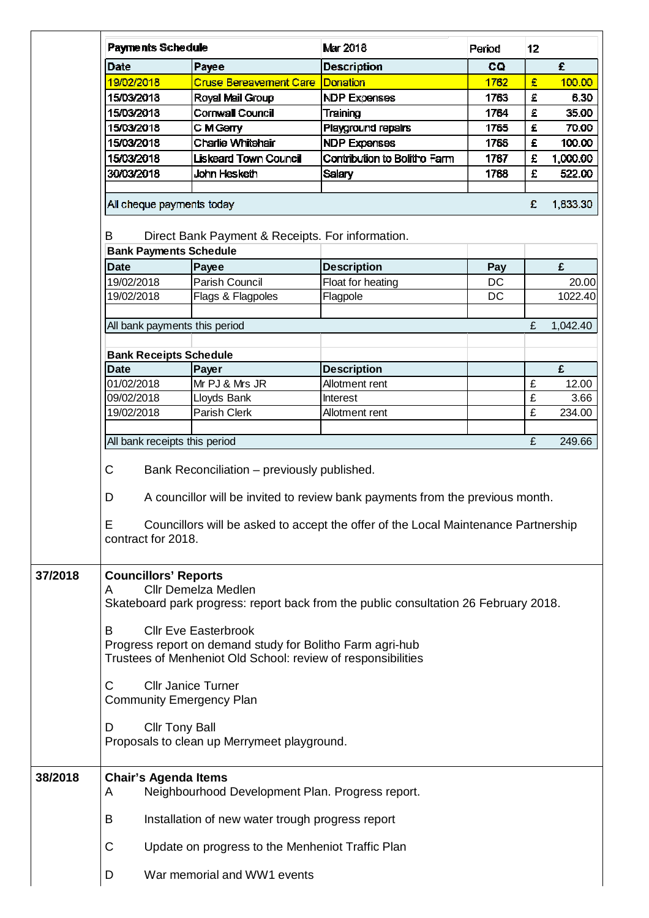|         | <b>Payments Schedule</b>                                                                                                                                                                                                                                |                                             | Mar 2018                     | Period | 12 |          |  |
|---------|---------------------------------------------------------------------------------------------------------------------------------------------------------------------------------------------------------------------------------------------------------|---------------------------------------------|------------------------------|--------|----|----------|--|
|         | <b>Date</b>                                                                                                                                                                                                                                             | Payee                                       | <b>Description</b>           | CQ     |    | £        |  |
|         | 19/02/2018                                                                                                                                                                                                                                              | <b>Cruse Bereavement Care</b>               | Donation                     | 1762   | £  | 100.00   |  |
|         | 15/03/2018                                                                                                                                                                                                                                              | Royal Mail Group                            | <b>NDP Expenses</b>          | 1763   | £  | 6.30     |  |
|         | 15/03/2018                                                                                                                                                                                                                                              | Cornwall Council                            | Training                     | 1764   | £  | 35.00    |  |
|         | 15/03/2018                                                                                                                                                                                                                                              | C M Gerry                                   | Playground repairs           | 1765   | £  | 70.00    |  |
|         | 15/03/2018                                                                                                                                                                                                                                              | Charlie Whitehair                           | <b>NDP Expenses</b>          | 1766   | £  | 100.00   |  |
|         | 15/03/2018                                                                                                                                                                                                                                              | Liskeard Town Council                       | Contribution to Bolitho Farm | 1767   | £  | 1,000.00 |  |
|         | 30/03/2018                                                                                                                                                                                                                                              | John Hesketh                                | <b>Salary</b>                | 1768   | £  | 522.00   |  |
|         | All cheque payments today<br>£<br>1,833.30                                                                                                                                                                                                              |                                             |                              |        |    |          |  |
|         | B<br>Direct Bank Payment & Receipts. For information.<br><b>Bank Payments Schedule</b>                                                                                                                                                                  |                                             |                              |        |    |          |  |
|         | <b>Date</b>                                                                                                                                                                                                                                             | Payee                                       | <b>Description</b>           | Pay    |    | £        |  |
|         | 19/02/2018                                                                                                                                                                                                                                              | Parish Council                              | Float for heating            | DC     |    | 20.00    |  |
|         | 19/02/2018                                                                                                                                                                                                                                              | Flags & Flagpoles                           | Flagpole                     | DC     |    | 1022.40  |  |
|         |                                                                                                                                                                                                                                                         |                                             |                              |        |    |          |  |
|         | All bank payments this period                                                                                                                                                                                                                           |                                             |                              |        | £  | 1,042.40 |  |
|         | <b>Bank Receipts Schedule</b>                                                                                                                                                                                                                           |                                             |                              |        |    |          |  |
|         | <b>Date</b>                                                                                                                                                                                                                                             | Payer                                       | <b>Description</b>           |        |    | £        |  |
|         | 01/02/2018                                                                                                                                                                                                                                              | Mr PJ & Mrs JR                              | Allotment rent               |        | £  | 12.00    |  |
|         | 09/02/2018                                                                                                                                                                                                                                              | Lloyds Bank                                 | <b>Interest</b>              |        | £  | 3.66     |  |
|         | 19/02/2018                                                                                                                                                                                                                                              | Parish Clerk                                | Allotment rent               |        | £  | 234.00   |  |
|         | All bank receipts this period                                                                                                                                                                                                                           |                                             |                              |        | £  | 249.66   |  |
|         | C<br>Bank Reconciliation - previously published.<br>A councillor will be invited to review bank payments from the previous month.<br>D<br>Councillors will be asked to accept the offer of the Local Maintenance Partnership<br>Ε<br>contract for 2018. |                                             |                              |        |    |          |  |
|         |                                                                                                                                                                                                                                                         |                                             |                              |        |    |          |  |
|         |                                                                                                                                                                                                                                                         |                                             |                              |        |    |          |  |
| 37/2018 | <b>Councillors' Reports</b><br><b>Cllr Demelza Medlen</b><br>A<br>Skateboard park progress: report back from the public consultation 26 February 2018.                                                                                                  |                                             |                              |        |    |          |  |
|         | <b>Cllr Eve Easterbrook</b><br>B<br>Progress report on demand study for Bolitho Farm agri-hub<br>Trustees of Menheniot Old School: review of responsibilities                                                                                           |                                             |                              |        |    |          |  |
|         | <b>Cllr Janice Turner</b><br>C<br><b>Community Emergency Plan</b>                                                                                                                                                                                       |                                             |                              |        |    |          |  |
|         | <b>Cllr Tony Ball</b><br>D                                                                                                                                                                                                                              | Proposals to clean up Merrymeet playground. |                              |        |    |          |  |
| 38/2018 | <b>Chair's Agenda Items</b><br>Neighbourhood Development Plan. Progress report.<br>A                                                                                                                                                                    |                                             |                              |        |    |          |  |
|         | Installation of new water trough progress report<br>В                                                                                                                                                                                                   |                                             |                              |        |    |          |  |
|         | C<br>Update on progress to the Menheniot Traffic Plan                                                                                                                                                                                                   |                                             |                              |        |    |          |  |
|         | War memorial and WW1 events<br>D                                                                                                                                                                                                                        |                                             |                              |        |    |          |  |